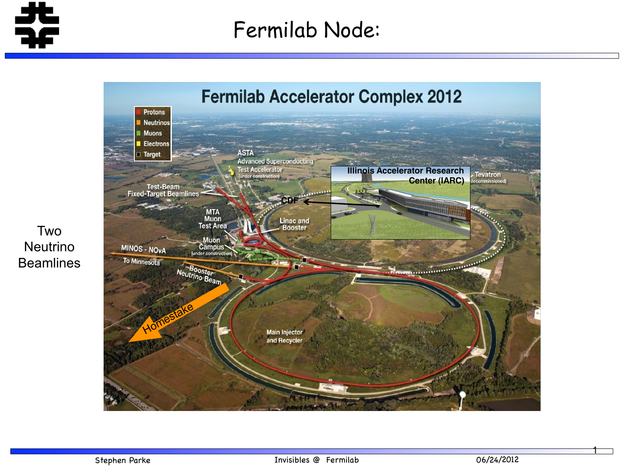

## Fermilab Node:



Two Neutrino **Beamlines**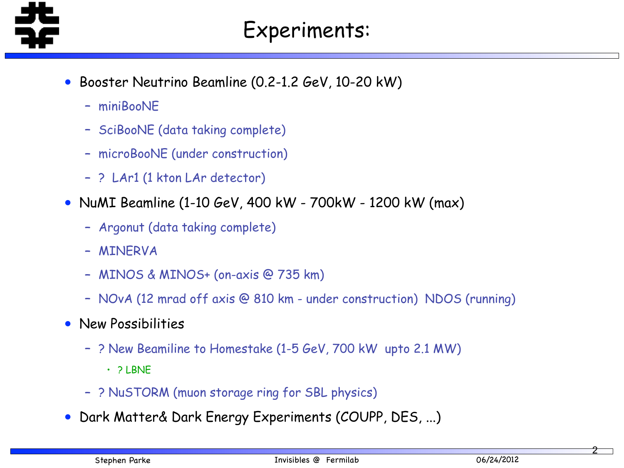

- Booster Neutrino Beamline (0.2-1.2 GeV, 10-20 kW)
	- miniBooNE
	- SciBooNE (data taking complete)
	- microBooNE (under construction)
	- ? LAr1 (1 kton LAr detector)
- NuMI Beamline (1-10 GeV, 400 kW 700kW 1200 kW (max)
	- Argonut (data taking complete)
	- MINERVA
	- MINOS & MINOS+ (on-axis @ 735 km)
	- NOvA (12 mrad off axis @ 810 km under construction) NDOS (running)
- New Possibilities
	- ? New Beamiline to Homestake (1-5 GeV, 700 kW upto 2.1 MW)
		- ? LBNE
	- ? NuSTORM (muon storage ring for SBL physics)
- Dark Matter& Dark Energy Experiments (COUPP, DES, ...)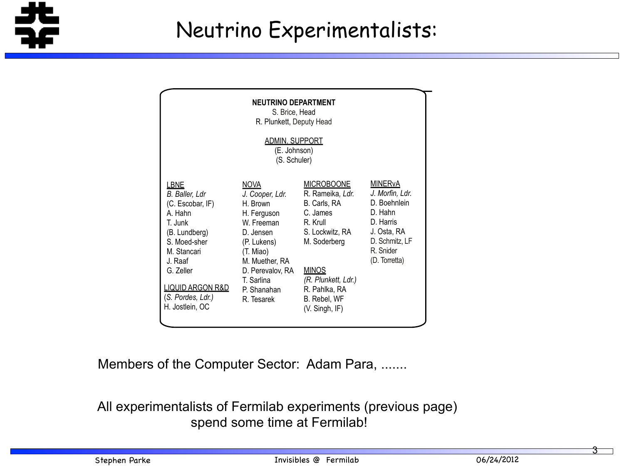

(J. St. James) (L. Vergili)<br>(L. Vergili)

| <b>NEUTRINO DEPARTMENT</b><br>S. Brice, Head<br>R. Plunkett, Deputy Head                                                                                                                                               |                                                                                                                                                                                                   |                                                                                                                                                                                                                |                                                                                                                                                     |
|------------------------------------------------------------------------------------------------------------------------------------------------------------------------------------------------------------------------|---------------------------------------------------------------------------------------------------------------------------------------------------------------------------------------------------|----------------------------------------------------------------------------------------------------------------------------------------------------------------------------------------------------------------|-----------------------------------------------------------------------------------------------------------------------------------------------------|
| <b>ADMIN. SUPPORT</b><br>(E. Johnson)<br>(S. Schuler)                                                                                                                                                                  |                                                                                                                                                                                                   |                                                                                                                                                                                                                |                                                                                                                                                     |
| <b>LBNE</b><br>B. Baller, Ldr<br>(C. Escobar, IF)<br>A. Hahn<br>T. Junk<br>(B. Lundberg)<br>S. Moed-sher<br>M. Stancari<br>J. Raaf<br>G. Zeller<br><u>LIQUID ARGON R&amp;D</u><br>(S. Pordes, Ldr.)<br>H. Jostlein, OC | <u>NOVA</u><br>J. Cooper, Ldr.<br>H. Brown<br>H. Ferguson<br>W. Freeman<br>D. Jensen<br>(P. Lukens)<br>(T. Miao)<br>M. Muether, RA<br>D. Perevalov, RA<br>T. Sarlina<br>P. Shanahan<br>R. Tesarek | <b>MICROBOONE</b><br>R. Rameika, Ldr.<br>B. Carls, RA<br>C. James<br>R. Krull<br>S. Lockwitz, RA<br>M. Soderberg<br><b>MINOS</b><br>(R. Plunkett, Ldr.)<br>R. Pahlka, RA<br>B. Rebel, WF<br>$(V.$ Singh, $IF)$ | <b>MINER<sub>V</sub>A</b><br>J. Morfin, Ldr.<br>D. Boehnlein<br>D. Hahn<br>D. Harris<br>J. Osta, RA<br>D. Schmitz, LF<br>R. Snider<br>(D. Torretta) |

 $\overline{\mathbf{B}}$ **B** COLLID  $\lambda$ UCIOI. F  $\sum_{n=1}^{\infty}$ Members of the Computer Sector: Adam Para, .......

alists of Fermilab experiments (previous page) J. Greenwood spen lah ex  $\mathbf{M}$  Mishina <u>ume</u> a All experimentalists of Fermilab experiments (previous page) R. Yarema spend some time at Fermilab!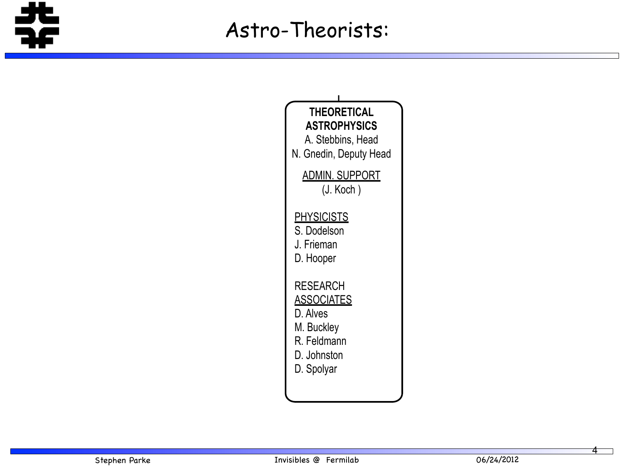

 $\frac{1}{2}$  -  $\frac{1}{2}$ 



4

A. Jonckeere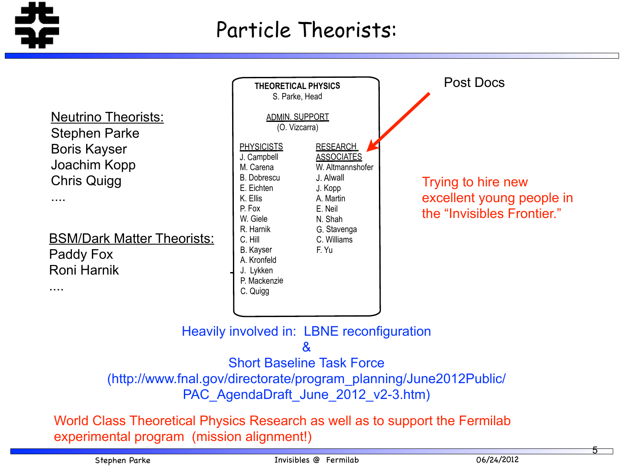

Z. Shi

P. Lippert

....

A. L. Soha

....

## Particle Theorists:

**Meutrino Theorists:** Boris Kayser Joachim Kopp Chris Quigg Stephen Parke

**BSM/Dark Matter Theorists: Paddy Fox** Roni Harnik

C. Gingu

M. Kozlovsky

**THEORETICAL PHYSICS** S. Parke, Head ADMIN. SUPPORT (O. Vizcarra) **PHYSICISTS** J. Campbell M. Carena B. Dobrescu E. Eichten K. Ellis P. Fox W. Giele R. Harnik C. Hill B. Kayser A. Kronfeld J. Lykken P. Mackenzie C. Quigg **Post Docs ASTROPHYSICS** A. Stebbins, Head N. Gnedin, Deputy Head RESEARCH **ASSOCIATES** W. Altmannshofer J. Alwall J. Kopp A. Martin E. Neil N. Shah G. Stavenga C. Williams F. Yu

*B. Baller, Ldr* ia neonle  $\sim$  H  $\sim$ the "Invisibles Frontier." Trying to hire new excellent young people in

Heavily involved in: LBNE reconfiguration

 $\mathcal{R}_{\mathbf{z}}$ 

Short Baseline Task Force

 $/h$ ttn $\cdot$ / (http://www.fnal.gov/directorate/program\_planning/June2012Public/ PAC AgendaDraft June 2012 v2-3.htm)

FCPA - Fermilab Center for Particle Astrophysics and Particle Astrophysics and Particle Astrophysics and Particle Astrophysics and Particle Astrophysics and Particle Astrophysics and Particle Astrophysics and Particle Astr Class Thooratical Dhy World Class Theoretical Physics Research as well as to support the Fermilab experimental program (mission alignment!)